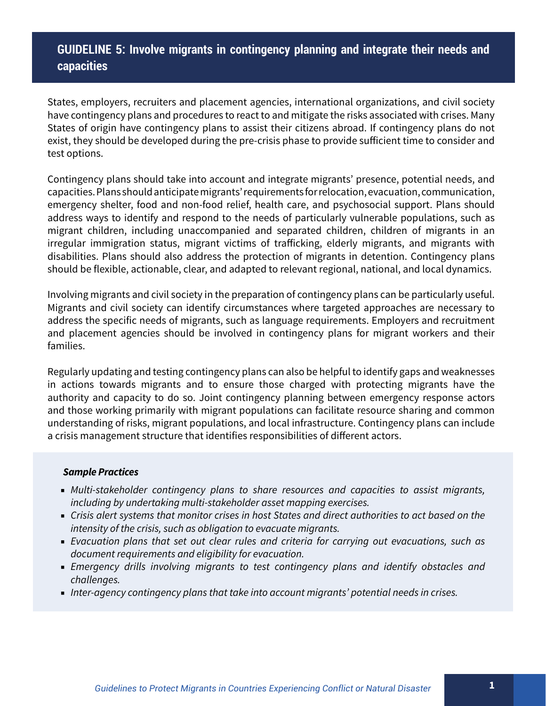# **GUIDELINE 5: Involve migrants in contingency planning and integrate their needs and capacities**

States, employers, recruiters and placement agencies, international organizations, and civil society have contingency plans and procedures to react to and mitigate the risks associated with crises. Many States of origin have contingency plans to assist their citizens abroad. If contingency plans do not exist, they should be developed during the pre-crisis phase to provide sufficient time to consider and test options.

Contingency plans should take into account and integrate migrants' presence, potential needs, and capacities. Plans should anticipate migrants' requirements for relocation, evacuation, communication, emergency shelter, food and non-food relief, health care, and psychosocial support. Plans should address ways to identify and respond to the needs of particularly vulnerable populations, such as migrant children, including unaccompanied and separated children, children of migrants in an irregular immigration status, migrant victims of trafficking, elderly migrants, and migrants with disabilities. Plans should also address the protection of migrants in detention. Contingency plans should be flexible, actionable, clear, and adapted to relevant regional, national, and local dynamics.

Involving migrants and civil society in the preparation of contingency plans can be particularly useful. Migrants and civil society can identify circumstances where targeted approaches are necessary to address the specific needs of migrants, such as language requirements. Employers and recruitment and placement agencies should be involved in contingency plans for migrant workers and their families.

Regularly updating and testing contingency plans can also be helpful to identify gaps and weaknesses in actions towards migrants and to ensure those charged with protecting migrants have the authority and capacity to do so. Joint contingency planning between emergency response actors and those working primarily with migrant populations can facilitate resource sharing and common understanding of risks, migrant populations, and local infrastructure. Contingency plans can include a crisis management structure that identifies responsibilities of different actors.

#### *Sample Practices*

- *Multi-stakeholder contingency plans to share resources and capacities to assist migrants, including by undertaking multi-stakeholder asset mapping exercises.*
- *Crisis alert systems that monitor crises in host States and direct authorities to act based on the intensity of the crisis, such as obligation to evacuate migrants.*
- *Evacuation plans that set out clear rules and criteria for carrying out evacuations, such as document requirements and eligibility for evacuation.*
- *Emergency drills involving migrants to test contingency plans and identify obstacles and challenges.*
- *Inter-agency contingency plans that take into account migrants' potential needs in crises.*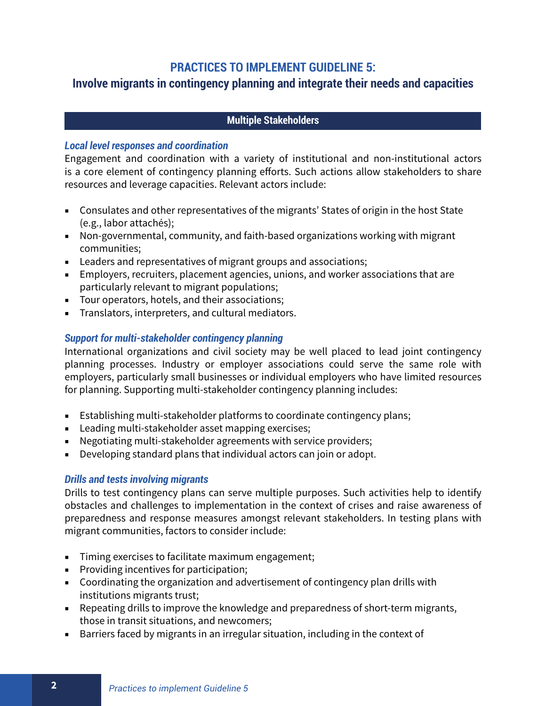## **PRACTICES TO IMPLEMENT GUIDELINE 5:**

# **Involve migrants in contingency planning and integrate their needs and capacities**

## **Multiple Stakeholders**

### *Local level responses and coordination*

Engagement and coordination with a variety of institutional and non-institutional actors is a core element of contingency planning efforts. Such actions allow stakeholders to share resources and leverage capacities. Relevant actors include:

- Consulates and other representatives of the migrants' States of origin in the host State (e.g., labor attachés);
- Non-governmental, community, and faith-based organizations working with migrant communities;
- Leaders and representatives of migrant groups and associations;
- Employers, recruiters, placement agencies, unions, and worker associations that are particularly relevant to migrant populations;
- Tour operators, hotels, and their associations;
- Translators, interpreters, and cultural mediators.

### *Support for multi-stakeholder contingency planning*

International organizations and civil society may be well placed to lead joint contingency planning processes. Industry or employer associations could serve the same role with employers, particularly small businesses or individual employers who have limited resources for planning. Supporting multi-stakeholder contingency planning includes:

- Establishing multi-stakeholder platforms to coordinate contingency plans;
- Leading multi-stakeholder asset mapping exercises;
- Negotiating multi-stakeholder agreements with service providers;
- Developing standard plans that individual actors can join or adopt.

## *Drills and tests involving migrants*

Drills to test contingency plans can serve multiple purposes. Such activities help to identify obstacles and challenges to implementation in the context of crises and raise awareness of preparedness and response measures amongst relevant stakeholders. In testing plans with migrant communities, factors to consider include:

- Timing exercises to facilitate maximum engagement;
- Providing incentives for participation;
- Coordinating the organization and advertisement of contingency plan drills with institutions migrants trust;
- Repeating drills to improve the knowledge and preparedness of short-term migrants, those in transit situations, and newcomers;
- Barriers faced by migrants in an irregular situation, including in the context of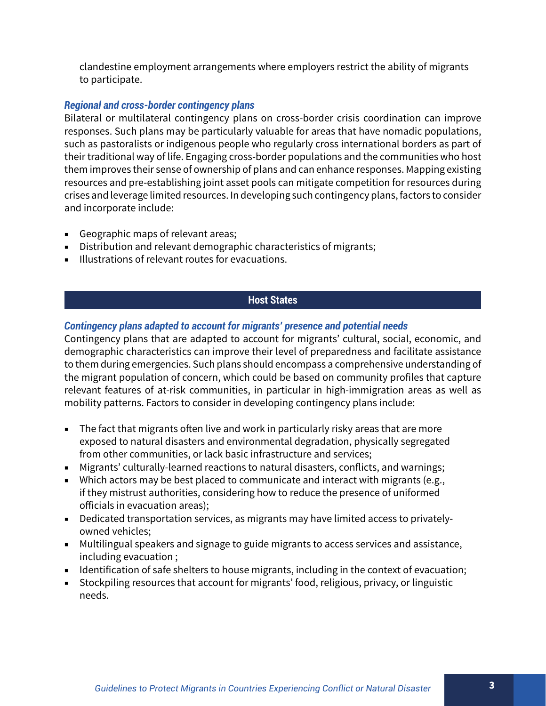clandestine employment arrangements where employers restrict the ability of migrants to participate.

## *Regional and cross-border contingency plans*

Bilateral or multilateral contingency plans on cross-border crisis coordination can improve responses. Such plans may be particularly valuable for areas that have nomadic populations, such as pastoralists or indigenous people who regularly cross international borders as part of their traditional way of life. Engaging cross-border populations and the communities who host them improves their sense of ownership of plans and can enhance responses. Mapping existing resources and pre-establishing joint asset pools can mitigate competition for resources during crises and leverage limited resources. In developing such contingency plans, factors to consider and incorporate include:

- Geographic maps of relevant areas;
- Distribution and relevant demographic characteristics of migrants;
- Illustrations of relevant routes for evacuations.

## **Host States**

## *Contingency plans adapted to account for migrants' presence and potential needs*

Contingency plans that are adapted to account for migrants' cultural, social, economic, and demographic characteristics can improve their level of preparedness and facilitate assistance to them during emergencies. Such plans should encompass a comprehensive understanding of the migrant population of concern, which could be based on community profiles that capture relevant features of at-risk communities, in particular in high-immigration areas as well as mobility patterns. Factors to consider in developing contingency plans include:

- The fact that migrants often live and work in particularly risky areas that are more exposed to natural disasters and environmental degradation, physically segregated from other communities, or lack basic infrastructure and services;
- Migrants' culturally-learned reactions to natural disasters, conflicts, and warnings;
- Which actors may be best placed to communicate and interact with migrants (e.g., if they mistrust authorities, considering how to reduce the presence of uniformed officials in evacuation areas);
- Dedicated transportation services, as migrants may have limited access to privatelyowned vehicles;
- Multilingual speakers and signage to guide migrants to access services and assistance, including evacuation ;
- Identification of safe shelters to house migrants, including in the context of evacuation;
- Stockpiling resources that account for migrants' food, religious, privacy, or linguistic needs.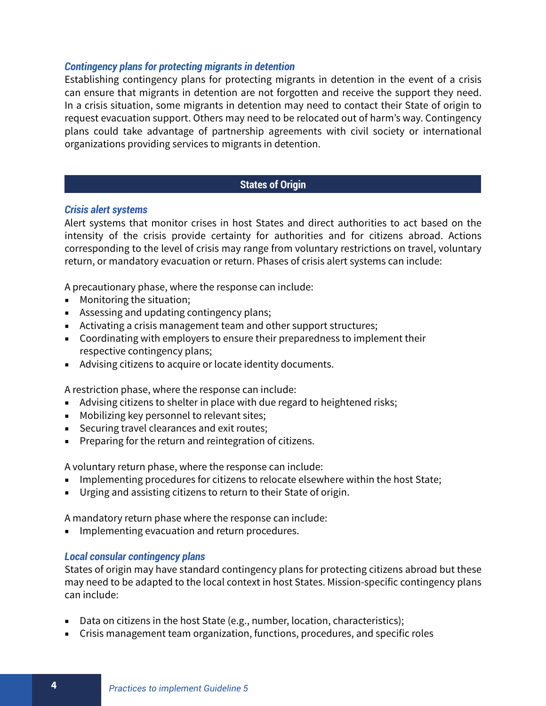#### *Contingency plans for protecting migrants in detention*

Establishing contingency plans for protecting migrants in detention in the event of a crisis can ensure that migrants in detention are not forgotten and receive the support they need. In a crisis situation, some migrants in detention may need to contact their State of origin to request evacuation support. Others may need to be relocated out of harm's way. Contingency plans could take advantage of partnership agreements with civil society or international organizations providing services to migrants in detention.

## **States of Origin**

#### *Crisis alert systems*

Alert systems that monitor crises in host States and direct authorities to act based on the intensity of the crisis provide certainty for authorities and for citizens abroad. Actions corresponding to the level of crisis may range from voluntary restrictions on travel, voluntary return, or mandatory evacuation or return. Phases of crisis alert systems can include:

A precautionary phase, where the response can include:

- Monitoring the situation;
- Assessing and updating contingency plans;
- Activating a crisis management team and other support structures;
- Coordinating with employers to ensure their preparedness to implement their respective contingency plans;
- Advising citizens to acquire or locate identity documents.

A restriction phase, where the response can include:

- Advising citizens to shelter in place with due regard to heightened risks;
- Mobilizing key personnel to relevant sites;
- Securing travel clearances and exit routes;
- Preparing for the return and reintegration of citizens.

A voluntary return phase, where the response can include:

- Implementing procedures for citizens to relocate elsewhere within the host State;
- Urging and assisting citizens to return to their State of origin.

A mandatory return phase where the response can include:

■ Implementing evacuation and return procedures.

#### *Local consular contingency plans*

States of origin may have standard contingency plans for protecting citizens abroad but these may need to be adapted to the local context in host States. Mission-specific contingency plans can include:

- Data on citizens in the host State (e.g., number, location, characteristics);
- Crisis management team organization, functions, procedures, and specific roles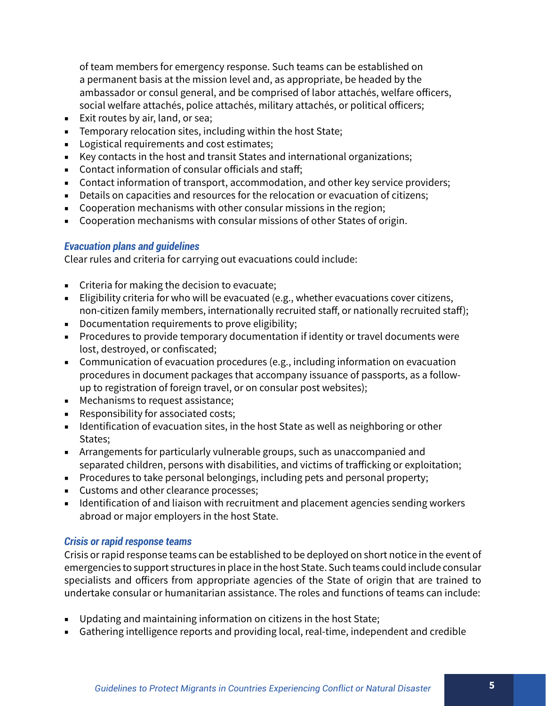of team members for emergency response. Such teams can be established on a permanent basis at the mission level and, as appropriate, be headed by the ambassador or consul general, and be comprised of labor attachés, welfare officers, social welfare attachés, police attachés, military attachés, or political officers;

- Exit routes by air, land, or sea;
- Temporary relocation sites, including within the host State;
- Logistical requirements and cost estimates;
- Key contacts in the host and transit States and international organizations;
- Contact information of consular officials and staff;
- Contact information of transport, accommodation, and other key service providers;
- Details on capacities and resources for the relocation or evacuation of citizens;
- Cooperation mechanisms with other consular missions in the region;
- Cooperation mechanisms with consular missions of other States of origin.

## *Evacuation plans and guidelines*

Clear rules and criteria for carrying out evacuations could include:

- Criteria for making the decision to evacuate;
- Eligibility criteria for who will be evacuated (e.g., whether evacuations cover citizens, non-citizen family members, internationally recruited staff, or nationally recruited staff);
- Documentation requirements to prove eligibility;
- Procedures to provide temporary documentation if identity or travel documents were lost, destroyed, or confiscated;
- Communication of evacuation procedures (e.g., including information on evacuation procedures in document packages that accompany issuance of passports, as a followup to registration of foreign travel, or on consular post websites);
- Mechanisms to request assistance;
- Responsibility for associated costs;
- Identification of evacuation sites, in the host State as well as neighboring or other States;
- Arrangements for particularly vulnerable groups, such as unaccompanied and separated children, persons with disabilities, and victims of trafficking or exploitation;
- Procedures to take personal belongings, including pets and personal property;
- Customs and other clearance processes;
- Identification of and liaison with recruitment and placement agencies sending workers abroad or major employers in the host State.

## *Crisis or rapid response teams*

Crisis or rapid response teams can be established to be deployed on short notice in the event of emergencies to support structures in place in the host State. Such teams could include consular specialists and officers from appropriate agencies of the State of origin that are trained to undertake consular or humanitarian assistance. The roles and functions of teams can include:

- Updating and maintaining information on citizens in the host State;
- Gathering intelligence reports and providing local, real-time, independent and credible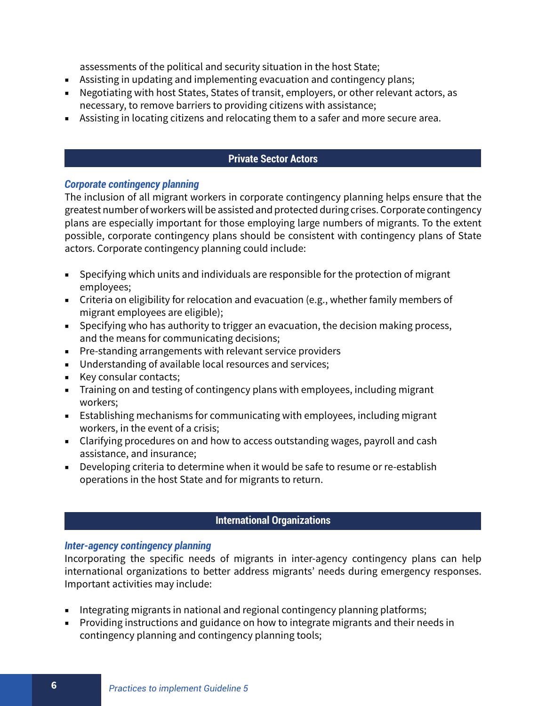assessments of the political and security situation in the host State;

- Assisting in updating and implementing evacuation and contingency plans;
- Negotiating with host States, States of transit, employers, or other relevant actors, as necessary, to remove barriers to providing citizens with assistance;
- Assisting in locating citizens and relocating them to a safer and more secure area.

## **Private Sector Actors**

## *Corporate contingency planning*

The inclusion of all migrant workers in corporate contingency planning helps ensure that the greatest number of workers will be assisted and protected during crises. Corporate contingency plans are especially important for those employing large numbers of migrants. To the extent possible, corporate contingency plans should be consistent with contingency plans of State actors. Corporate contingency planning could include:

- Specifying which units and individuals are responsible for the protection of migrant employees;
- Criteria on eligibility for relocation and evacuation (e.g., whether family members of migrant employees are eligible);
- Specifying who has authority to trigger an evacuation, the decision making process, and the means for communicating decisions;
- Pre-standing arrangements with relevant service providers
- Understanding of available local resources and services;
- Key consular contacts;
- Training on and testing of contingency plans with employees, including migrant workers;
- Establishing mechanisms for communicating with employees, including migrant workers, in the event of a crisis;
- Clarifying procedures on and how to access outstanding wages, payroll and cash assistance, and insurance;
- Developing criteria to determine when it would be safe to resume or re-establish operations in the host State and for migrants to return.

## **International Organizations**

## *Inter-agency contingency planning*

Incorporating the specific needs of migrants in inter-agency contingency plans can help international organizations to better address migrants' needs during emergency responses. Important activities may include:

- Integrating migrants in national and regional contingency planning platforms;
- Providing instructions and guidance on how to integrate migrants and their needs in contingency planning and contingency planning tools;